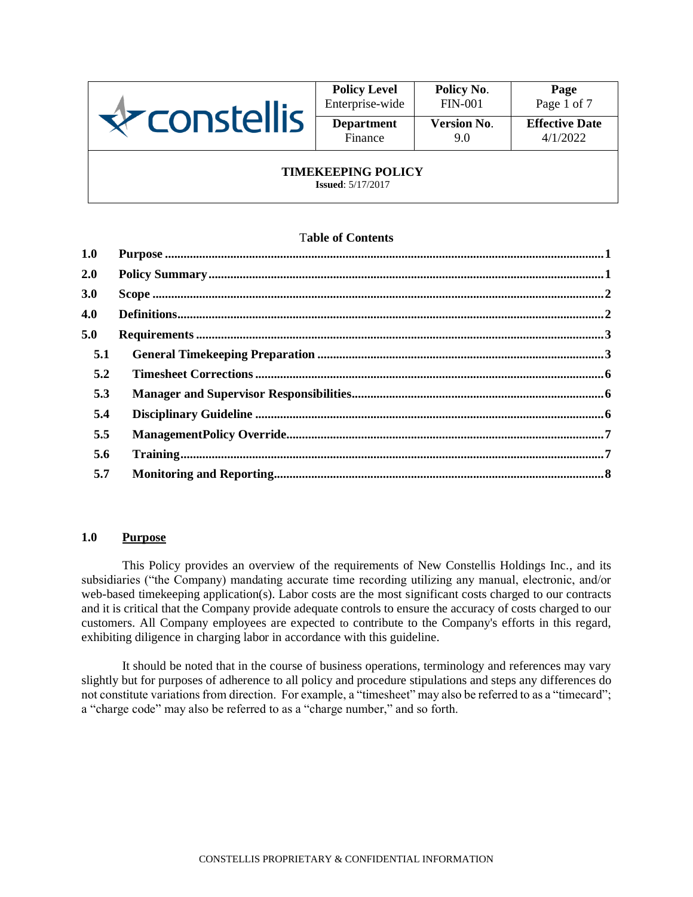

| <b>Policy Level</b> | Policy No.         | Page                  |
|---------------------|--------------------|-----------------------|
| Enterprise-wide     | <b>FIN-001</b>     | Page 1 of 7           |
| <b>Department</b>   | <b>Version No.</b> | <b>Effective Date</b> |
| Finance             | 90                 | 4/1/2022              |

### **TIMEKEEPING POLICY**

**Issued**: 5/17/2017

#### T**able of Contents**

| 1.0 |  |
|-----|--|
| 2.0 |  |
| 3.0 |  |
| 4.0 |  |
| 5.0 |  |
| 5.1 |  |
| 5.2 |  |
| 5.3 |  |
| 5.4 |  |
| 5.5 |  |
| 5.6 |  |
| 5.7 |  |
|     |  |

# **1.0 Purpose**

This Policy provides an overview of the requirements of New Constellis Holdings Inc., and its subsidiaries ("the Company) mandating accurate time recording utilizing any manual, electronic, and/or web-based timekeeping application(s). Labor costs are the most significant costs charged to our contracts and it is critical that the Company provide adequate controls to ensure the accuracy of costs charged to our customers. All Company employees are expected to contribute to the Company's efforts in this regard, exhibiting diligence in charging labor in accordance with this guideline.

It should be noted that in the course of business operations, terminology and references may vary slightly but for purposes of adherence to all policy and procedure stipulations and steps any differences do not constitute variations from direction. For example, a "timesheet" may also be referred to as a "timecard"; a "charge code" may also be referred to as a "charge number," and so forth.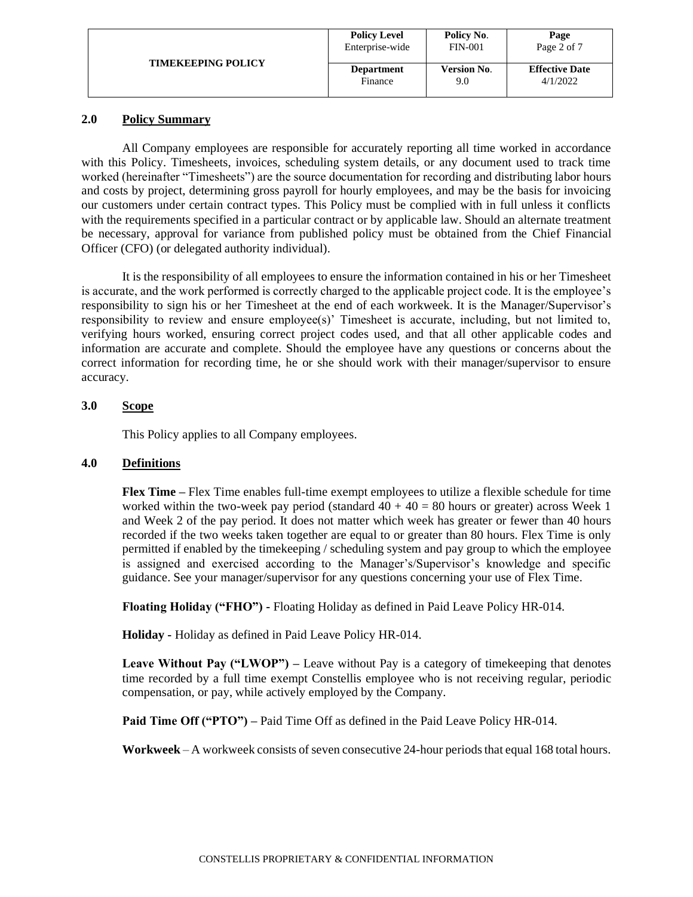|                           | <b>Policy Level</b> | Policy No.         | Page                  |
|---------------------------|---------------------|--------------------|-----------------------|
|                           | Enterprise-wide     | <b>FIN-001</b>     | Page 2 of 7           |
| <b>TIMEKEEPING POLICY</b> | <b>Department</b>   | <b>Version No.</b> | <b>Effective Date</b> |
|                           | Finance             | 9.0                | 4/1/2022              |

### **2.0 Policy Summary**

All Company employees are responsible for accurately reporting all time worked in accordance with this Policy. Timesheets, invoices, scheduling system details, or any document used to track time worked (hereinafter "Timesheets") are the source documentation for recording and distributing labor hours and costs by project, determining gross payroll for hourly employees, and may be the basis for invoicing our customers under certain contract types. This Policy must be complied with in full unless it conflicts with the requirements specified in a particular contract or by applicable law. Should an alternate treatment be necessary, approval for variance from published policy must be obtained from the Chief Financial Officer (CFO) (or delegated authority individual).

It is the responsibility of all employees to ensure the information contained in his or her Timesheet is accurate, and the work performed is correctly charged to the applicable project code. It is the employee's responsibility to sign his or her Timesheet at the end of each workweek. It is the Manager/Supervisor's responsibility to review and ensure employee(s)' Timesheet is accurate, including, but not limited to, verifying hours worked, ensuring correct project codes used, and that all other applicable codes and information are accurate and complete. Should the employee have any questions or concerns about the correct information for recording time, he or she should work with their manager/supervisor to ensure accuracy.

# **3.0 Scope**

This Policy applies to all Company employees.

### **4.0 Definitions**

**Flex Time –** Flex Time enables full-time exempt employees to utilize a flexible schedule for time worked within the two-week pay period (standard  $40 + 40 = 80$  hours or greater) across Week 1 and Week 2 of the pay period. It does not matter which week has greater or fewer than 40 hours recorded if the two weeks taken together are equal to or greater than 80 hours. Flex Time is only permitted if enabled by the timekeeping / scheduling system and pay group to which the employee is assigned and exercised according to the Manager's/Supervisor's knowledge and specific guidance. See your manager/supervisor for any questions concerning your use of Flex Time.

**Floating Holiday ("FHO") -** Floating Holiday as defined in Paid Leave Policy HR-014.

**Holiday -** Holiday as defined in Paid Leave Policy HR-014.

**Leave Without Pay ("LWOP") –** Leave without Pay is a category of timekeeping that denotes time recorded by a full time exempt Constellis employee who is not receiving regular, periodic compensation, or pay, while actively employed by the Company.

**Paid Time Off ("PTO") –** Paid Time Off as defined in the Paid Leave Policy HR-014.

**Workweek** – A workweek consists of seven consecutive 24-hour periods that equal 168 total hours.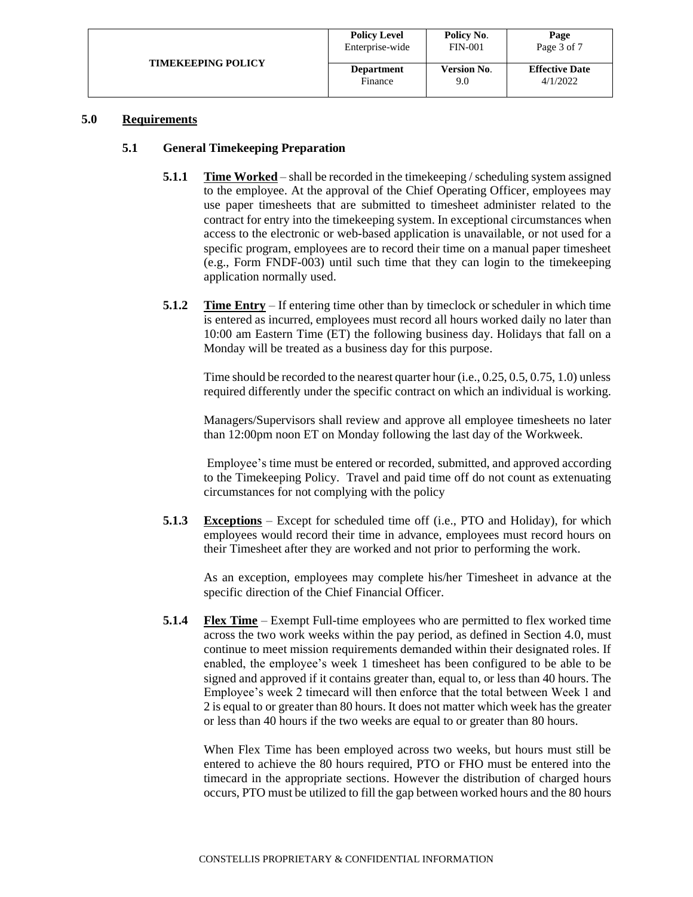| <b>TIMEKEEPING POLICY</b> | <b>Policy Level</b> | Policy No.         | Page                  |
|---------------------------|---------------------|--------------------|-----------------------|
|                           | Enterprise-wide     | <b>FIN-001</b>     | Page 3 of 7           |
|                           | <b>Department</b>   | <b>Version No.</b> | <b>Effective Date</b> |
|                           | Finance             | 9.0                | 4/1/2022              |

#### **5.0 Requirements**

#### **5.1 General Timekeeping Preparation**

- **5.1.1 Time Worked** shall be recorded in the time keeping / scheduling system assigned to the employee. At the approval of the Chief Operating Officer, employees may use paper timesheets that are submitted to timesheet administer related to the contract for entry into the timekeeping system. In exceptional circumstances when access to the electronic or web-based application is unavailable, or not used for a specific program, employees are to record their time on a manual paper timesheet (e.g., Form FNDF-003) until such time that they can login to the timekeeping application normally used.
- **5.1.2 Time Entry** If entering time other than by timeclock or scheduler in which time is entered as incurred, employees must record all hours worked daily no later than 10:00 am Eastern Time (ET) the following business day. Holidays that fall on a Monday will be treated as a business day for this purpose.

Time should be recorded to the nearest quarter hour (i.e., 0.25, 0.5, 0.75, 1.0) unless required differently under the specific contract on which an individual is working.

Managers/Supervisors shall review and approve all employee timesheets no later than 12:00pm noon ET on Monday following the last day of the Workweek.

Employee's time must be entered or recorded, submitted, and approved according to the Timekeeping Policy. Travel and paid time off do not count as extenuating circumstances for not complying with the policy

**5.1.3 Exceptions** – Except for scheduled time off (i.e., PTO and Holiday), for which employees would record their time in advance, employees must record hours on their Timesheet after they are worked and not prior to performing the work.

As an exception, employees may complete his/her Timesheet in advance at the specific direction of the Chief Financial Officer.

**5.1.4 Flex Time** – Exempt Full-time employees who are permitted to flex worked time across the two work weeks within the pay period, as defined in Section 4.0, must continue to meet mission requirements demanded within their designated roles. If enabled, the employee's week 1 timesheet has been configured to be able to be signed and approved if it contains greater than, equal to, or less than 40 hours. The Employee's week 2 timecard will then enforce that the total between Week 1 and 2 is equal to or greater than 80 hours. It does not matter which week has the greater or less than 40 hours if the two weeks are equal to or greater than 80 hours.

When Flex Time has been employed across two weeks, but hours must still be entered to achieve the 80 hours required, PTO or FHO must be entered into the timecard in the appropriate sections. However the distribution of charged hours occurs, PTO must be utilized to fill the gap between worked hours and the 80 hours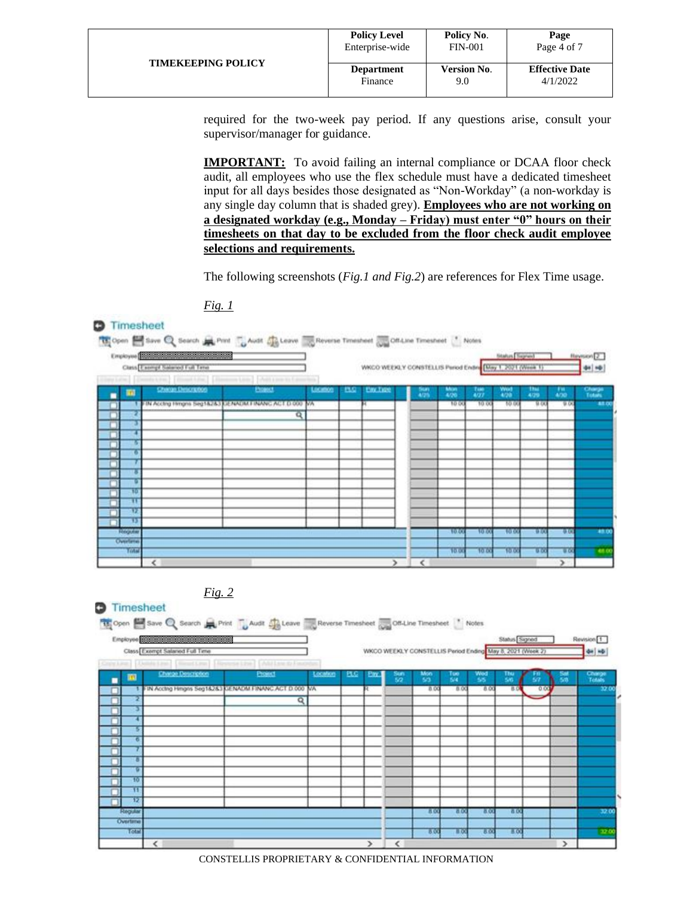| <b>TIMEKEEPING POLICY</b> | <b>Policy Level</b> | Policy No.         | Page                  |
|---------------------------|---------------------|--------------------|-----------------------|
|                           | Enterprise-wide     | <b>FIN-001</b>     | Page 4 of 7           |
|                           | <b>Department</b>   | <b>Version No.</b> | <b>Effective Date</b> |
|                           | Finance             | 9.0                | 4/1/2022              |

required for the two-week pay period. If any questions arise, consult your supervisor/manager for guidance.

**IMPORTANT:** To avoid failing an internal compliance or DCAA floor check audit, all employees who use the flex schedule must have a dedicated timesheet input for all days besides those designated as "Non-Workday" (a non-workday is any single day column that is shaded grey). **Employees who are not working on a designated workday (e.g., Monday – Friday) must enter "0" hours on their timesheets on that day to be excluded from the floor check audit employee selections and requirements.** 

The following screenshots (*Fig.1 and Fig.2*) are references for Flex Time usage.





#### **D** Timesheet Open E Save Q Search Print LAudit CL Leave Reverse Timesheet CL Off-Line Timesheet Status<sup>Signed</sup> Employee Revision<sup>1</sup> Class Exempt Salared Full Tim WKCO WEEKLY CONSTELLIS Period Ending May 8, 2021 (Week 2) 44 46 m Tuo<br>S/4 τö, Text. п g Hinghs Seg1&2&3 GENADM FINANC ACT D 000 00  $\overline{a}$ 8.0  $\overline{\mathbf{Q}}$ ō π D 80 Overta  $B<sub>0</sub>$  $\overline{\alpha}$  $50$ Пō  $\overline{55}$  $\overline{\phantom{a}}$ s  $\epsilon$  $\rightarrow$

CONSTELLIS PROPRIETARY & CONFIDENTIAL INFORMATION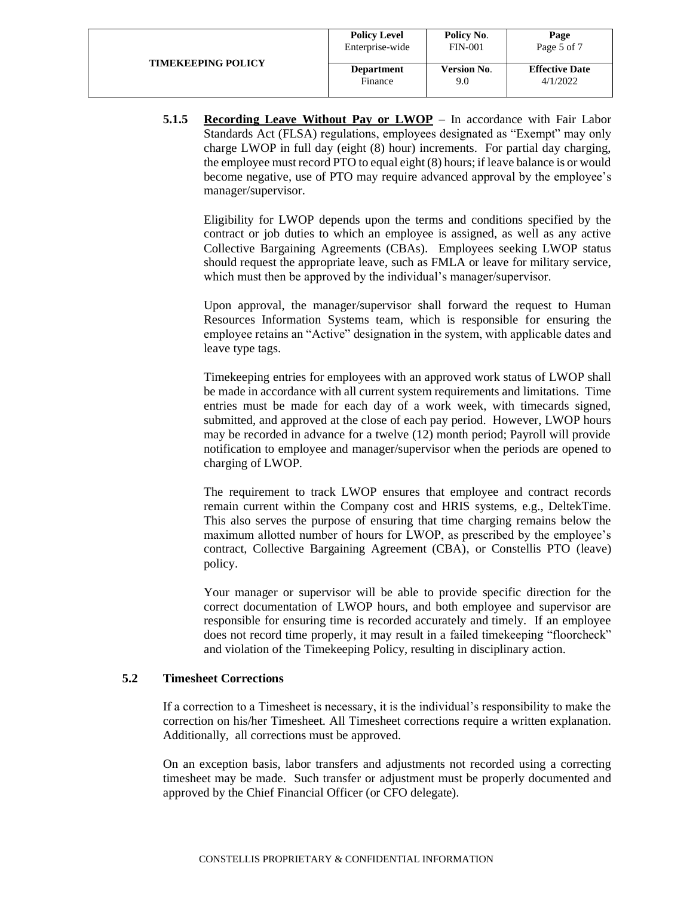|                           | <b>Policy Level</b> | Policy No.         | Page                  |
|---------------------------|---------------------|--------------------|-----------------------|
|                           | Enterprise-wide     | <b>FIN-001</b>     | Page 5 of 7           |
| <b>TIMEKEEPING POLICY</b> | <b>Department</b>   | <b>Version No.</b> | <b>Effective Date</b> |
|                           | Finance             | 9.0                | 4/1/2022              |

**5.1.5 Recording Leave Without Pay or LWOP** – In accordance with Fair Labor Standards Act (FLSA) regulations, employees designated as "Exempt" may only charge LWOP in full day (eight (8) hour) increments. For partial day charging, the employee must record PTO to equal eight (8) hours; if leave balance is or would become negative, use of PTO may require advanced approval by the employee's manager/supervisor.

Eligibility for LWOP depends upon the terms and conditions specified by the contract or job duties to which an employee is assigned, as well as any active Collective Bargaining Agreements (CBAs). Employees seeking LWOP status should request the appropriate leave, such as FMLA or leave for military service, which must then be approved by the individual's manager/supervisor.

Upon approval, the manager/supervisor shall forward the request to Human Resources Information Systems team, which is responsible for ensuring the employee retains an "Active" designation in the system, with applicable dates and leave type tags.

Timekeeping entries for employees with an approved work status of LWOP shall be made in accordance with all current system requirements and limitations. Time entries must be made for each day of a work week, with timecards signed, submitted, and approved at the close of each pay period. However, LWOP hours may be recorded in advance for a twelve (12) month period; Payroll will provide notification to employee and manager/supervisor when the periods are opened to charging of LWOP.

The requirement to track LWOP ensures that employee and contract records remain current within the Company cost and HRIS systems, e.g., DeltekTime. This also serves the purpose of ensuring that time charging remains below the maximum allotted number of hours for LWOP, as prescribed by the employee's contract, Collective Bargaining Agreement (CBA), or Constellis PTO (leave) policy.

Your manager or supervisor will be able to provide specific direction for the correct documentation of LWOP hours, and both employee and supervisor are responsible for ensuring time is recorded accurately and timely. If an employee does not record time properly, it may result in a failed timekeeping "floorcheck" and violation of the Timekeeping Policy, resulting in disciplinary action.

### **5.2 Timesheet Corrections**

If a correction to a Timesheet is necessary, it is the individual's responsibility to make the correction on his/her Timesheet. All Timesheet corrections require a written explanation. Additionally, all corrections must be approved.

On an exception basis, labor transfers and adjustments not recorded using a correcting timesheet may be made. Such transfer or adjustment must be properly documented and approved by the Chief Financial Officer (or CFO delegate).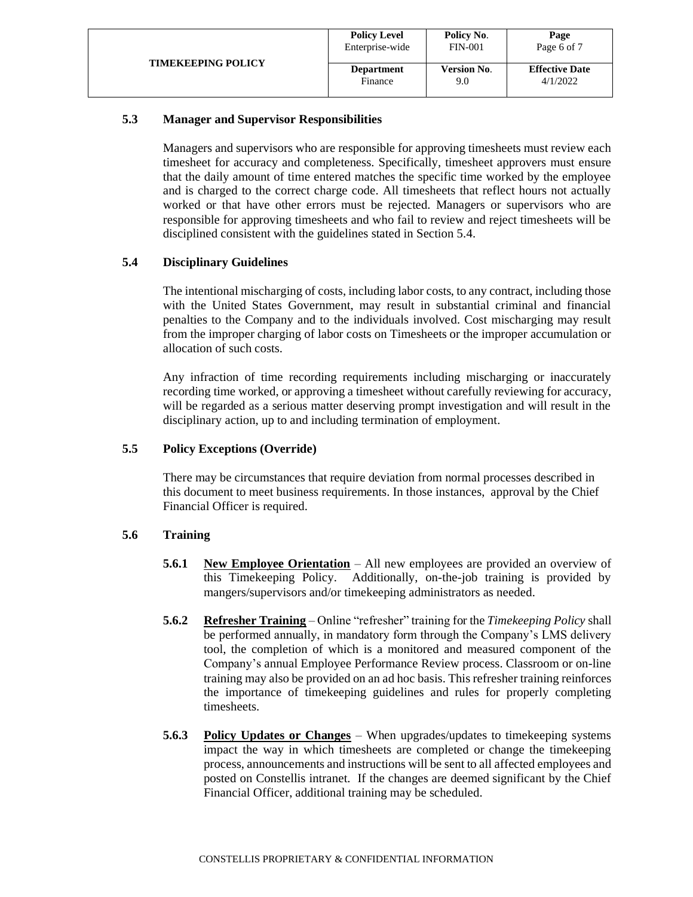| <b>TIMEKEEPING POLICY</b> | <b>Policy Level</b> | Policy No.         | Page                  |
|---------------------------|---------------------|--------------------|-----------------------|
|                           | Enterprise-wide     | <b>FIN-001</b>     | Page 6 of 7           |
|                           | <b>Department</b>   | <b>Version No.</b> | <b>Effective Date</b> |
|                           | Finance             | 9.0                | 4/1/2022              |

### **5.3 Manager and Supervisor Responsibilities**

Managers and supervisors who are responsible for approving timesheets must review each timesheet for accuracy and completeness. Specifically, timesheet approvers must ensure that the daily amount of time entered matches the specific time worked by the employee and is charged to the correct charge code. All timesheets that reflect hours not actually worked or that have other errors must be rejected. Managers or supervisors who are responsible for approving timesheets and who fail to review and reject timesheets will be disciplined consistent with the guidelines stated in Section 5.4.

# **5.4 Disciplinary Guidelines**

The intentional mischarging of costs, including labor costs, to any contract, including those with the United States Government, may result in substantial criminal and financial penalties to the Company and to the individuals involved. Cost mischarging may result from the improper charging of labor costs on Timesheets or the improper accumulation or allocation of such costs.

Any infraction of time recording requirements including mischarging or inaccurately recording time worked, or approving a timesheet without carefully reviewing for accuracy, will be regarded as a serious matter deserving prompt investigation and will result in the disciplinary action, up to and including termination of employment.

# **5.5 Policy Exceptions (Override)**

There may be circumstances that require deviation from normal processes described in this document to meet business requirements. In those instances, approval by the Chief Financial Officer is required.

### **5.6 Training**

- **5.6.1 New Employee Orientation** All new employees are provided an overview of this Timekeeping Policy. Additionally, on-the-job training is provided by mangers/supervisors and/or timekeeping administrators as needed.
- **5.6.2 Refresher Training** Online "refresher" training for the *Timekeeping Policy* shall be performed annually, in mandatory form through the Company's LMS delivery tool, the completion of which is a monitored and measured component of the Company's annual Employee Performance Review process. Classroom or on-line training may also be provided on an ad hoc basis. This refresher training reinforces the importance of timekeeping guidelines and rules for properly completing timesheets.
- **5.6.3 Policy Updates or Changes** When upgrades/updates to timekeeping systems impact the way in which timesheets are completed or change the timekeeping process, announcements and instructions will be sent to all affected employees and posted on Constellis intranet. If the changes are deemed significant by the Chief Financial Officer, additional training may be scheduled.